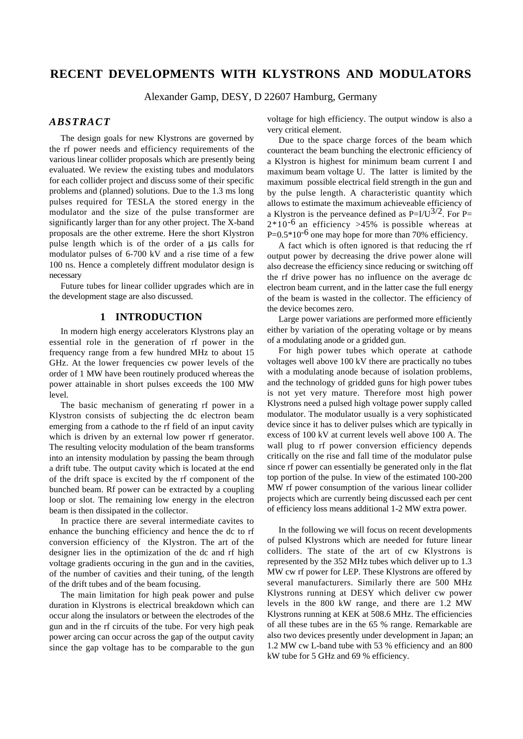# **RECENT DEVELOPMENTS WITH KLYSTRONS AND MODULATORS**

Alexander Gamp, DESY, D 22607 Hamburg, Germany

## *ABSTRACT*

The design goals for new Klystrons are governed by the rf power needs and efficiency requirements of the various linear collider proposals which are presently being evaluated. We review the existing tubes and modulators for each collider project and discuss some of their specific problems and (planned) solutions. Due to the 1.3 ms long pulses required for TESLA the stored energy in the modulator and the size of the pulse transformer are significantly larger than for any other project. The X-band proposals are the other extreme. Here the short Klystron pulse length which is of the order of a µs calls for modulator pulses of 6-700 kV and a rise time of a few 100 ns. Hence a completely diffrent modulator design is necessary

Future tubes for linear collider upgrades which are in the development stage are also discussed.

#### **1 INTRODUCTION**

In modern high energy accelerators Klystrons play an essential role in the generation of rf power in the frequency range from a few hundred MHz to about 15 GHz. At the lower frequencies cw power levels of the order of 1 MW have been routinely produced whereas the power attainable in short pulses exceeds the 100 MW level.

The basic mechanism of generating rf power in a Klystron consists of subjecting the dc electron beam emerging from a cathode to the rf field of an input cavity which is driven by an external low power rf generator. The resulting velocity modulation of the beam transforms into an intensity modulation by passing the beam through a drift tube. The output cavity which is located at the end of the drift space is excited by the rf component of the bunched beam. Rf power can be extracted by a coupling loop or slot. The remaining low energy in the electron beam is then dissipated in the collector.

In practice there are several intermediate cavites to enhance the bunching efficiency and hence the dc to rf conversion efficiency of the Klystron. The art of the designer lies in the optimization of the dc and rf high voltage gradients occuring in the gun and in the cavities, of the number of cavities and their tuning, of the length of the drift tubes and of the beam focusing.

The main limitation for high peak power and pulse duration in Klystrons is electrical breakdown which can occur along the insulators or between the electrodes of the gun and in the rf circuits of the tube. For very high peak power arcing can occur across the gap of the output cavity since the gap voltage has to be comparable to the gun voltage for high efficiency. The output window is also a very critical element.

Due to the space charge forces of the beam which counteract the beam bunching the electronic efficiency of a Klystron is highest for minimum beam current I and maximum beam voltage U. The latter is limited by the maximum possible electrical field strength in the gun and by the pulse length. A characteristic quantity which allows to estimate the maximum achieveable efficiency of a Klystron is the perveance defined as  $P=I/U^{3/2}$ . For  $P=$  $2*10^{-6}$  an efficiency >45% is possible whereas at  $P=0.5*10^{-6}$  one may hope for more than 70% efficiency.

A fact which is often ignored is that reducing the rf output power by decreasing the drive power alone will also decrease the efficiency since reducing or switching off the rf drive power has no influence on the average dc electron beam current, and in the latter case the full energy of the beam is wasted in the collector. The efficiency of the device becomes zero.

Large power variations are performed more efficiently either by variation of the operating voltage or by means of a modulating anode or a gridded gun.

For high power tubes which operate at cathode voltages well above 100 kV there are practically no tubes with a modulating anode because of isolation problems, and the technology of gridded guns for high power tubes is not yet very mature. Therefore most high power Klystrons need a pulsed high voltage power supply called modulator. The modulator usually is a very sophisticated device since it has to deliver pulses which are typically in excess of 100 kV at current levels well above 100 A. The wall plug to rf power conversion efficiency depends critically on the rise and fall time of the modulator pulse since rf power can essentially be generated only in the flat top portion of the pulse. In view of the estimated 100-200 MW rf power consumption of the various linear collider projects which are currently being discussed each per cent of efficiency loss means additional 1-2 MW extra power.

In the following we will focus on recent developments of pulsed Klystrons which are needed for future linear colliders. The state of the art of cw Klystrons is represented by the 352 MHz tubes which deliver up to 1.3 MW cw rf power for LEP. These Klystrons are offered by several manufacturers. Similarly there are 500 MHz Klystrons running at DESY which deliver cw power levels in the 800 kW range, and there are 1.2 MW Klystrons running at KEK at 508.6 MHz. The efficiencies of all these tubes are in the 65 % range. Remarkable are also two devices presently under development in Japan; an 1.2 MW cw L-band tube with 53 % efficiency and an 800 kW tube for 5 GHz and 69 % efficiency.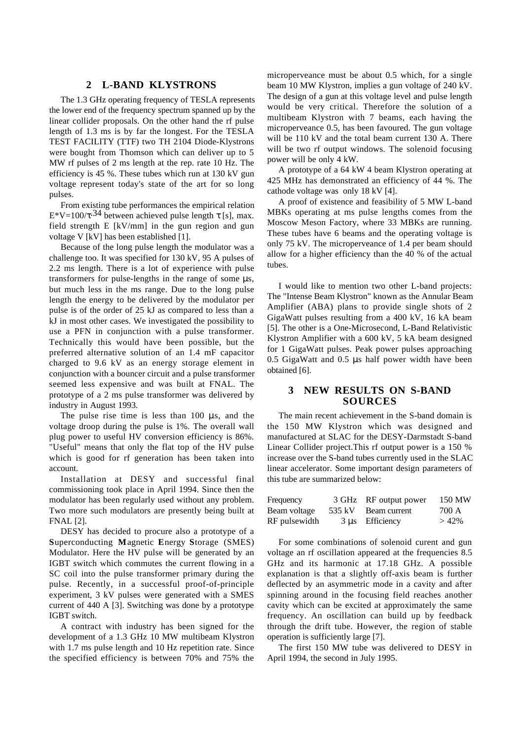### **2 L-BAND KLYSTRONS**

The 1.3 GHz operating frequency of TESLA represents the lower end of the frequency spectrum spanned up by the linear collider proposals. On the other hand the rf pulse length of 1.3 ms is by far the longest. For the TESLA TEST FACILITY (TTF) two TH 2104 Diode-Klystrons were bought from Thomson which can deliver up to 5 MW rf pulses of 2 ms length at the rep. rate 10 Hz. The efficiency is 45 %. These tubes which run at 130 kV gun voltage represent today's state of the art for so long pulses.

From existing tube performances the empirical relation E<sup>\*</sup>V=100/τ<sup>.34</sup> between achieved pulse length τ [s], max. field strength E [kV/mm] in the gun region and gun voltage V [kV] has been established [1].

Because of the long pulse length the modulator was a challenge too. It was specified for 130 kV, 95 A pulses of 2.2 ms length. There is a lot of experience with pulse transformers for pulse-lengths in the range of some µs, but much less in the ms range. Due to the long pulse length the energy to be delivered by the modulator per pulse is of the order of 25 kJ as compared to less than a kJ in most other cases. We investigated the possibility to use a PFN in conjunction with a pulse transformer. Technically this would have been possible, but the preferred alternative solution of an 1.4 mF capacitor charged to 9.6 kV as an energy storage element in conjunction with a bouncer circuit and a pulse transformer seemed less expensive and was built at FNAL. The prototype of a 2 ms pulse transformer was delivered by industry in August 1993.

The pulse rise time is less than  $100 \mu s$ , and the voltage droop during the pulse is 1%. The overall wall plug power to useful HV conversion efficiency is 86%. "Useful" means that only the flat top of the HV pulse which is good for rf generation has been taken into account.

Installation at DESY and successful final commissioning took place in April 1994. Since then the modulator has been regularly used without any problem. Two more such modulators are presently being built at FNAL [2].

DESY has decided to procure also a prototype of a **S**uperconducting **M**agnetic **E**nergy **S**torage (SMES) Modulator. Here the HV pulse will be generated by an IGBT switch which commutes the current flowing in a SC coil into the pulse transformer primary during the pulse. Recently, in a successful proof-of-principle experiment, 3 kV pulses were generated with a SMES current of 440 A [3]. Switching was done by a prototype IGBT switch.

A contract with industry has been signed for the development of a 1.3 GHz 10 MW multibeam Klystron with 1.7 ms pulse length and 10 Hz repetition rate. Since the specified efficiency is between 70% and 75% the

microperveance must be about 0.5 which, for a single beam 10 MW Klystron, implies a gun voltage of 240 kV. The design of a gun at this voltage level and pulse length would be very critical. Therefore the solution of a multibeam Klystron with 7 beams, each having the microperveance 0.5, has been favoured. The gun voltage will be 110 kV and the total beam current 130 A. There will be two rf output windows. The solenoid focusing power will be only 4 kW.

A prototype of a 64 kW 4 beam Klystron operating at 425 MHz has demonstrated an efficiency of 44 %. The cathode voltage was only 18 kV [4].

A proof of existence and feasibility of 5 MW L-band MBKs operating at ms pulse lengths comes from the Moscow Meson Factory, where 33 MBKs are running. These tubes have 6 beams and the operating voltage is only 75 kV. The microperveance of 1.4 per beam should allow for a higher efficiency than the 40 % of the actual tubes.

I would like to mention two other L-band projects: The "Intense Beam Klystron" known as the Annular Beam Amplifier (ABA) plans to provide single shots of 2 GigaWatt pulses resulting from a 400 kV, 16 kA beam [5]. The other is a One-Microsecond, L-Band Relativistic Klystron Amplifier with a 600 kV, 5 kA beam designed for 1 GigaWatt pulses. Peak power pulses approaching 0.5 GigaWatt and 0.5 µs half power width have been obtained [6].

#### **3 NEW RESULTS ON S-BAND SOURCES**

The main recent achievement in the S-band domain is the 150 MW Klystron which was designed and manufactured at SLAC for the DESY-Darmstadt S-band Linear Collider project.This rf output power is a 150 % increase over the S-band tubes currently used in the SLAC linear accelerator. Some important design parameters of this tube are summarized below:

| Frequency     | 3 GHz RF output power | 150 MW  |
|---------------|-----------------------|---------|
| Beam voltage  | 535 kV Beam current   | 700 A   |
| RF pulsewidth | $3 \mu s$ Efficiency  | $>42\%$ |

For some combinations of solenoid curent and gun voltage an rf oscillation appeared at the frequencies 8.5 GHz and its harmonic at 17.18 GHz. A possible explanation is that a slightly off-axis beam is further deflected by an asymmetric mode in a cavity and after spinning around in the focusing field reaches another cavity which can be excited at approximately the same frequency. An oscillation can build up by feedback through the drift tube. However, the region of stable operation is sufficiently large [7].

The first 150 MW tube was delivered to DESY in April 1994, the second in July 1995.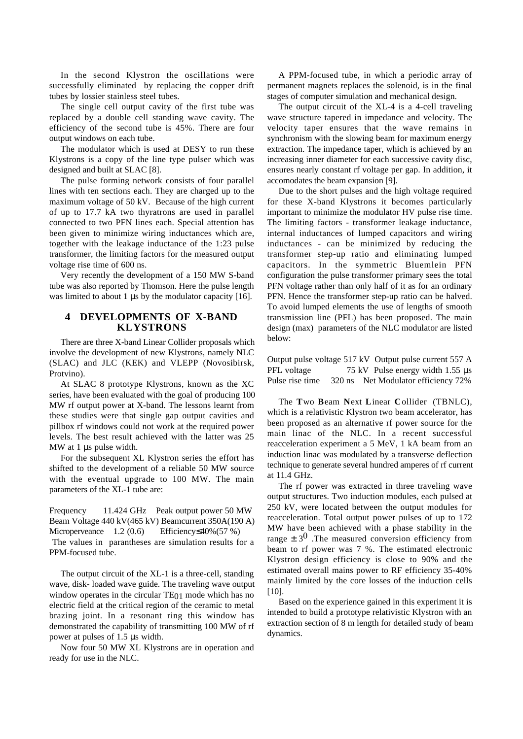In the second Klystron the oscillations were successfully eliminated by replacing the copper drift tubes by lossier stainless steel tubes.

The single cell output cavity of the first tube was replaced by a double cell standing wave cavity. The efficiency of the second tube is 45%. There are four output windows on each tube.

The modulator which is used at DESY to run these Klystrons is a copy of the line type pulser which was designed and built at SLAC [8].

The pulse forming network consists of four parallel lines with ten sections each. They are charged up to the maximum voltage of 50 kV. Because of the high current of up to 17.7 kA two thyratrons are used in parallel connected to two PFN lines each. Special attention has been given to minimize wiring inductances which are, together with the leakage inductance of the 1:23 pulse transformer, the limiting factors for the measured output voltage rise time of 600 ns.

Very recently the development of a 150 MW S-band tube was also reported by Thomson. Here the pulse length was limited to about 1  $\mu$ s by the modulator capacity [16].

#### **4 DEVELOPMENTS OF X-BAND KLYSTRONS**

There are three X-band Linear Collider proposals which involve the development of new Klystrons, namely NLC (SLAC) and JLC (KEK) and VLEPP (Novosibirsk, Protvino).

At SLAC 8 prototype Klystrons, known as the XC series, have been evaluated with the goal of producing 100 MW rf output power at X-band. The lessons learnt from these studies were that single gap output cavities and pillbox rf windows could not work at the required power levels. The best result achieved with the latter was 25 MW at 1 us pulse width.

For the subsequent XL Klystron series the effort has shifted to the development of a reliable 50 MW source with the eventual upgrade to 100 MW. The main parameters of the XL-1 tube are:

Frequency 11.424 GHz Peak output power 50 MW Beam Voltage 440 kV(465 kV) Beamcurrent 350A(190 A) Microperveance 1.2 (0.6) Efficiency≤40%(57 %)

 The values in parantheses are simulation results for a PPM-focused tube.

The output circuit of the XL-1 is a three-cell, standing wave, disk- loaded wave guide. The traveling wave output window operates in the circular  $TE_{01}$  mode which has no electric field at the critical region of the ceramic to metal brazing joint. In a resonant ring this window has demonstrated the capability of transmitting 100 MW of rf power at pulses of 1.5 µs width.

Now four 50 MW XL Klystrons are in operation and ready for use in the NLC.

A PPM-focused tube, in which a periodic array of permanent magnets replaces the solenoid, is in the final stages of computer simulation and mechanical design.

The output circuit of the XL-4 is a 4-cell traveling wave structure tapered in impedance and velocity. The velocity taper ensures that the wave remains in synchronism with the slowing beam for maximum energy extraction. The impedance taper, which is achieved by an increasing inner diameter for each successive cavity disc, ensures nearly constant rf voltage per gap. In addition, it accomodates the beam expansion [9].

Due to the short pulses and the high voltage required for these X-band Klystrons it becomes particularly important to minimize the modulator HV pulse rise time. The limiting factors - transformer leakage inductance, internal inductances of lumped capacitors and wiring inductances - can be minimized by reducing the transformer step-up ratio and eliminating lumped capacitors. In the symmetric Bluemlein PFN configuration the pulse transformer primary sees the total PFN voltage rather than only half of it as for an ordinary PFN. Hence the transformer step-up ratio can be halved. To avoid lumped elements the use of lengths of smooth transmission line (PFL) has been proposed. The main design (max) parameters of the NLC modulator are listed below:

Output pulse voltage 517 kV Output pulse current 557 A PFL voltage 75 kV Pulse energy width 1.55 µs Pulse rise time 320 ns Net Modulator efficiency 72%

The **T**wo **B**eam **N**ext **L**inear **C**ollider (TBNLC), which is a relativistic Klystron two beam accelerator, has been proposed as an alternative rf power source for the main linac of the NLC. In a recent successful reacceleration experiment a 5 MeV, 1 kA beam from an induction linac was modulated by a transverse deflection technique to generate several hundred amperes of rf current at 11.4 GHz.

The rf power was extracted in three traveling wave output structures. Two induction modules, each pulsed at 250 kV, were located between the output modules for reacceleration. Total output power pulses of up to 172 MW have been achieved with a phase stability in the range  $\pm 3^0$  . The measured conversion efficiency from beam to rf power was 7 %. The estimated electronic Klystron design efficiency is close to 90% and the estimated overall mains power to RF efficiency 35-40% mainly limited by the core losses of the induction cells [10].

Based on the experience gained in this experiment it is intended to build a prototype relativistic Klystron with an extraction section of 8 m length for detailed study of beam dynamics.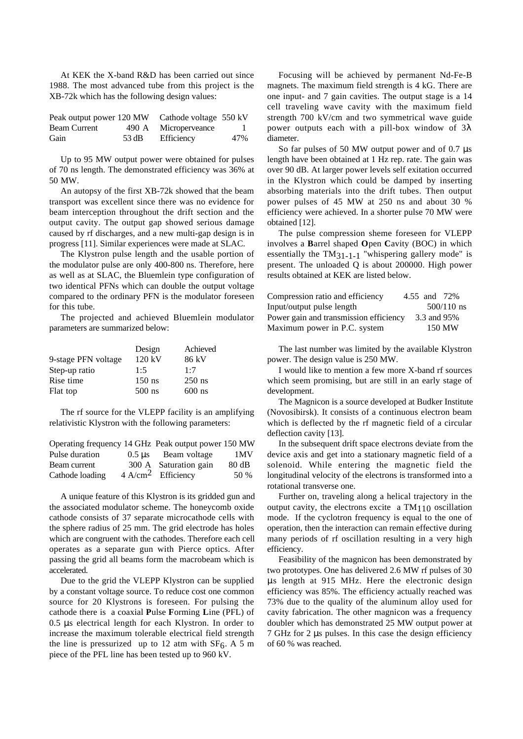At KEK the X-band R&D has been carried out since 1988. The most advanced tube from this project is the XB-72k which has the following design values:

| Peak output power 120 MW |       | Cathode voltage 550 kV |              |
|--------------------------|-------|------------------------|--------------|
| Beam Current             |       | 490 A Microperveance   | $\mathbf{I}$ |
| Gain                     | 53 dB | Efficiency             | 47%          |

Up to 95 MW output power were obtained for pulses of 70 ns length. The demonstrated efficiency was 36% at 50 MW.

An autopsy of the first XB-72k showed that the beam transport was excellent since there was no evidence for beam interception throughout the drift section and the output cavity. The output gap showed serious damage caused by rf discharges, and a new multi-gap design is in progress [11]. Similar experiences were made at SLAC.

The Klystron pulse length and the usable portion of the modulator pulse are only 400-800 ns. Therefore, here as well as at SLAC, the Bluemlein type configuration of two identical PFNs which can double the output voltage compared to the ordinary PFN is the modulator foreseen for this tube.

The projected and achieved Bluemlein modulator parameters are summarized below:

|                     | Design   | Achieved |
|---------------------|----------|----------|
| 9-stage PFN voltage | 120 kV   | 86 kV    |
| Step-up ratio       | 1:5      | 1:7      |
| Rise time           | $150$ ns | $250$ ns |
| Flat top            | $500$ ns | $600$ ns |

The rf source for the VLEPP facility is an amplifying relativistic Klystron with the following parameters:

| Operating frequency 14 GHz Peak output power 150 MW |                                   |       |
|-----------------------------------------------------|-----------------------------------|-------|
| Pulse duration                                      | $0.5 \,\mathrm{u}$ s Beam voltage | 1MV   |
| Beam current                                        | 300 A Saturation gain             | 80 dB |
| Cathode loading                                     | $4 \text{ A/cm}^2$ Efficiency     | 50 %  |

A unique feature of this Klystron is its gridded gun and the associated modulator scheme. The honeycomb oxide cathode consists of 37 separate microcathode cells with the sphere radius of 25 mm. The grid electrode has holes which are congruent with the cathodes. Therefore each cell operates as a separate gun with Pierce optics. After passing the grid all beams form the macrobeam which is accelerated.

Due to the grid the VLEPP Klystron can be supplied by a constant voltage source. To reduce cost one common source for 20 Klystrons is foreseen. For pulsing the cathode there is a coaxial **P**ulse **F**orming **L**ine (PFL) of 0.5 µs electrical length for each Klystron. In order to increase the maximum tolerable electrical field strength the line is pressurized up to 12 atm with  $SF_6$ . A 5 m piece of the PFL line has been tested up to 960 kV.

Focusing will be achieved by permanent Nd-Fe-B magnets. The maximum field strength is 4 kG. There are one input- and 7 gain cavities. The output stage is a 14 cell traveling wave cavity with the maximum field strength 700 kV/cm and two symmetrical wave guide power outputs each with a pill-box window of 3λ diameter.

So far pulses of 50 MW output power and of  $0.7 \mu s$ length have been obtained at 1 Hz rep. rate. The gain was over 90 dB. At larger power levels self exitation occurred in the Klystron which could be damped by inserting absorbing materials into the drift tubes. Then output power pulses of 45 MW at 250 ns and about 30 % efficiency were achieved. In a shorter pulse 70 MW were obtained [12].

The pulse compression sheme foreseen for VLEPP involves a **B**arrel shaped **O**pen **C**avity (BOC) in which essentially the TM31-1-1 "whispering gallery mode" is present. The unloaded Q is about 200000. High power results obtained at KEK are listed below.

| Compression ratio and efficiency       |  | 4.55 and 72% |
|----------------------------------------|--|--------------|
| Input/output pulse length              |  | $500/110$ ns |
| Power gain and transmission efficiency |  | 3.3 and 95%  |
| Maximum power in P.C. system           |  | 150 MW       |

The last number was limited by the available Klystron power. The design value is 250 MW.

I would like to mention a few more X-band rf sources which seem promising, but are still in an early stage of development.

The Magnicon is a source developed at Budker Institute (Novosibirsk). It consists of a continuous electron beam which is deflected by the rf magnetic field of a circular deflection cavity [13].

In the subsequent drift space electrons deviate from the device axis and get into a stationary magnetic field of a solenoid. While entering the magnetic field the longitudinal velocity of the electrons is transformed into a rotational transverse one.

Further on, traveling along a helical trajectory in the output cavity, the electrons excite a  $TM_{110}$  oscillation mode. If the cyclotron frequency is equal to the one of operation, then the interaction can remain effective during many periods of rf oscillation resulting in a very high efficiency.

Feasibility of the magnicon has been demonstrated by two prototypes. One has delivered 2.6 MW rf pulses of 30 µs length at 915 MHz. Here the electronic design efficiency was 85%. The efficiency actually reached was 73% due to the quality of the aluminum alloy used for cavity fabrication. The other magnicon was a frequency doubler which has demonstrated 25 MW output power at 7 GHz for 2 µs pulses. In this case the design efficiency of 60 % was reached.